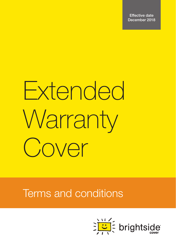Effective date December 2018

# Extended **Warranty** Cover

Terms and conditions

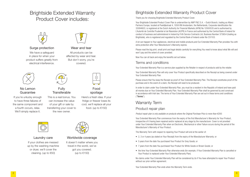## Brightside Extended Warranty Product Cover includes:





Wear and tear All products can be affected by wear and tear. But don't worry, you're covered.

#### Surge protection We have a safeguard in place for when your product suffers greatly from electrical interference.



#### No Lemon **Guarantee**

If you're unlucky enough to have three failures of the same component and a fourth occurs, relax. We'll simply replace it.



Fully **Transferable** 

This is a real bonus. You can increase the value of your gift or sale by transferring your cover to the new owner.



#### Laundry care

If your clothes are messed up by the washing machine or dryer, we'll cover the cleaning. (up to €50)



Here's a fresh idea. If your fridge or freezer loses its cool, we'll replace all your food. (up to €150)



#### Worldwide coverage

It doesn't matter where you travel in the world, we've got you covered. (up to €150)

## Brightside Extended Warranty Product Cover

Thank you for choosing Brightside Extended Warranty Product Cover.

Your Brightside Extended Product Cover Plan is underwritten by AWP P&C S.A. – Dutch Branch, trading as Allianz Partners Europe, located at Poeldijkstraat 4, 1059 VM Amsterdam, the Netherlands, Corporate identification No 33094603, is registered at the Dutch Authority for Financial Markets (AFM) No 12000535 and is authorised by L'Autorité de Contrôle Prudentiel et de Résolution (ACPR) in France and authorised by the Central Bank of Ireland for conduct of business and administered in Ireland by Frith Service Contracts Ltd, Business Number 373654 (trading as Brightside), who is registered and regulated by the Central Bank of Ireland under No C51103.

A lot can happen to Your appliances, electrical and mobile products,and Our Extended Warranty Plan provides You with extra protection after Your Manufacturer's Warranty expires.

Please read the big print, small print and legal details carefully for everything You need to know about what We will and won't pay and the extent of cover provided.

Now You can sit back and enjoy the benefits set out below.

#### Terms and conditions

Your Extended Warranty Plan is a service plan supplied by the Retailer in respect of products sold by the retailer.

Your Extended Warranty Plan will only cover Your Product specifically described on the Receipt as being covered under Your Extended Warranty Plan.

Please ensure that You keep the Receipt as proof of Your Extended Warranty Plan. The Receipt constitutes proof of the purchase and in the event of a claim, the Receipt will need to be produced.

In order to claim under Your Extended Warranty Plan, you must be a resident in the Republic of Ireland and have paid all monies due on Your Extended Warranty Plan. Your Extended Warranty Plan shall be governed by and construed in accordance with Irish law. The terms of Your Extended Warranty Plan are set out in these terms and conditions ("Terms").

## Warranty Term

### Product repair plan

*Product repair plan is only available on products where the Original Purchase Price is more than €200.*

Your Extended Warranty Plan commences from the expiry of the first Manufacturer's Warranty for Your Product, irrespective of it having been repaired and/or replaced at any stage by the manufacturer. Cover is not provided under Your Extended Warranty Plan when an Electronic, Mechanical or other Failure occurs during the period of the Manufacturer's Warranty of Your Product.

The Warranty Term with respect to repairing Your Product will end at the earlier of:

- 2, 3 or 4 years (as stated on Your Receipt) from the expiry of the Manufacturer Warranty; or
- 5 years from the date You purchased Your Product for Grey Goods; or
- 7 years from the date You purchased Your Product for White Goods or Brown Goods; or
- the time Your Extended Warranty Plan otherwise ends (for example, if Your Extended Warranty Plan is cancelled or Your Product is replaced under Your Extended Warranty Plan).

No claims under Your Extended Warranty Plan will be considered by Us if You have attempted to repair Your Product without our prior written agreement.

Your Extended Warranty Plan ends when the Warranty Term ends.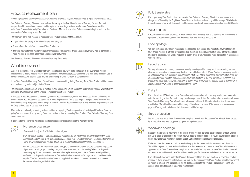## Product replacement plan

*Product replacement plan is only available on products where the Original Purchase Price is equal to or less than €200.*

Your Extended Warranty Plan commences from the expiry of the first Manufacturer's Warranty for Your Product, irrespective of it having been repaired and/or replaced at any stage by the manufacturer. Cover is not provided under Your Extended Warranty Plan when an Electronic, Mechanical or other Failure occurs during the period of the Manufacturer's Warranty of Your Product.

The Warranty Term with respect to replacing Your Product will end at the earlier of:

- 2 years from the expiry of the Manufacturer Warranty; or
- 5 years from the date You purchased Your Product; or
- the time Your Extended Warranty Plan otherwise ends (for example, if Your Extended Warranty Plan is cancelled or Your Product is replaced under Your Extended Warranty Plan).

Your Extended Warranty Plan ends when the Warranty Term ends.

## What is covered

Subject to the Terms, Your Extended Warranty Plan provides You with extra protection in the event Your Product ceases working due to: Mechanical or Electrical failure; power surges; reasonable wear and tear (determined by Us); or environmental factors such as dust, internal overheating, internal humidity or condensation.

Under Your Extended Warranty Plan, if Your Product ceases working during Warranty Term, Your Product will be repaired to normal working order (subject to the Terms).

The maximum amount payable by Us in relation to any one and all claims combined under Your Extended Warranty Plan (excluding any repairs) will be the Original Purchase Price of Your Product.

In the case of Your Product being covered by Product Replacement Plan, under Your Extended Warranty Plan We will always replace Your Product as set out in the Product Replacement Terms (see page 8) (subject to the Terms of Your Extended Warranty Plan) rather than attempt to repair it. Product Replacement Plan is only available on products where the Original Purchase Price less than €200.

If We settle Your claim by arranging a store credit of or by paying You the equivalent of the Original Purchase Price by giving You a store credit or by paying You a cash settlement or by replacing Your Product, Your Extended Warranty Plan comes to an end.

In addition to the Terms We will provide the following additional cover during the Warranty Term:

## No lemon guarantee

*This benefit is only applicable to Product repair plan.* 

If Your Product has had 3 authorised service repairs under Your Extended Warranty Plan for the same component and requires a 4th authorised service under Your Extended Warranty Plan during the Warranty Term, We will replace Your Product as set out in the Product Replacement Terms (see page 8).

For the purposes of the 'No Lemon Guarantee', preventative maintenance checks, consumer requested alignments, cleanings, product diagnosis, customer education, troubleshooting/telephone diagnosis, accessory repairs/replacements, mouse repairs/ replacements, computer software related problems, no fault found diagnosis and returns to Our authorised repairer within 30 days are not considered to be repairs. The 'No Lemon Guarantee' does not apply to ice makers, computer keyboards and speakers, laptop and all rechargeable batteries.



#### Fully transferable

If You give away Your Product You can transfer Your Extended Warranty Plan to the new owner at no charge once You notify the Brightside Cover Team of the transfer in writing within 14 days. This is limited to one transfer, after which time additional transfer requests will incur an administration fee of €30 each.

#### Wear and tear

If Your Product has been subjected to wear and tear from everyday use, and it affects the functionality or operation of Your Product, under Your Extended Warranty Plan You are covered.

#### Food spoilage

We may reimburse You for any reasonable food spoilage that occurs as a result of a covered failure or fault if Your Product is a fridge or freezer up to a maximum monetary amount of €150 (at Our discretion). In order to be eligible, You will be required to supply proof of Your loss and must have acted in accordance with the Terms.

#### Laundry care

We may reimburse You for any reasonable laundry cleaning and /or drying services (excluding any dry cleaning services) that are necessary due to a covered failure or fault if Your Product is a washing machine or clothes dryer up to a maximum monetary amount of €50 (at Our discretion). Your Product must be out of service for more than ten (10) consecutive days from the time of the first service call to assess Your Product failure or fault. You will be required to supply proof of payment for laundry costs to support Your claim and must have acted in accordance with the Terms.



 $\cap$   $\cap$  $\overline{\mathcal{L}}$ 

 $\overline{\overset{\circ}{\mathbb{O}}}$ 

## **Freight**

If You live within 100km from one of Our authorised repairers We will cover any freight costs associated with the handling of Your Product, during the claims process. If Your Product requires a service call, under Your Extended Warranty Plan We will cover all service call fees. If We determine that You do not have a valid claim We will not be responsible for any of the above costs and if We have made any advance payment You agree to reimburse Us this amount, within 14 days.

#### Surge protection

We will cover You under Your Extended Warranty Plan even if Your Product suffers a break down caused by an electrical interference, power surge or voltage fluctuation.

#### Worldwide coverage

It doesn't matter where You travel in the world, if Your Product suffers a covered failure or fault, We will pay up to €150 of the cost of the repair. You will need to contact Us prior to having Your Product repaired under Your Extended Warranty Plan and obtain Our authorisation to organise the repair.

If We authorise the repair, You will be required to pay for the repair and claim the cost back from Us. You will be required to show an itemised invoice of the repair costs in order to have Your reimbursement approved under Your Extended Warranty Plan. Alternatively You may elect to have Your Product repaired on return to Ireland in which case You will not need to pay for the repair and claim the cost back from Us.

If Your Product is covered under the Product Replacement Plan, You may elect not to have Your Product repaired outside Ireland as stated above, but wait for the replacement of Your Product from Us or payment on return to Ireland. The replacement will be done according to the Product Replacement Terms. You cannot claim both the cost of repair and replacement.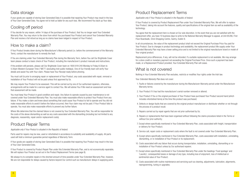## Data storage

If your goods are capable of storing User Generated Data it is possible that repairing Your Product may result in the loss of Your User Generated Data. You agree not to hold us liable for any such loss. We recommend You back up Your data.

## Cooling off period

If You decide for any reason, within 14 days of the purchase of Your Product, that You no longer want Your Extended Warranty Plan, You may return to the store from which You purchased Your Product and cancel Your Extended Warranty Plan and receive a full refund as long as no claims have been lodged in respect of Your Product.

## How to make a claim?

If Your Product breaks down during the Manufacturer's Warranty period (i.e. before the commencement of the Warranty Term), contact the manufacturer to remedy the fault.

If You are claiming under Your Extended Warranty Plan during the Warranty Term, before You call Our Brightside Cover team please conduct a basic check of Your Product, including the manufacturer's product manuals and instructions.

If the problem still persists, please call Our Brightside Cover team on 1800 819 240 Monday to Friday 8:30am to 5:30pm Western European Time ("WET") (excluding Irish public holidays). One of Our friendly team will verify Your details and assist You with Your claim. Please have Your Receipt ready before phoning.

You must call Us prior to arranging repair or replacement of Your Product, any costs associated with repair, removal or installation of Your Product will not be paid unless first approved by Us.

We may require Your Product to be assessed. This will be carried out by one of Our authorised repairers, otherwise, arrangements will be made for a service agent to contact You. We will advise You if We need an assessment and how that assessment will be made.

You must keep Your Product in good condition and repair. Any failure to operate caused by poor maintenance is not covered under Your Extended Warranty Plan. You must also make reasonable efforts to protect Your Product from any failure. If You make a claim and knew about something that could cause Your Product to fail to operate and You did not make reasonable efforts to avoid it before the failure occurred, then Your claim may not be paid. If Your Product fails to operate, You must also make reasonable efforts to prevent any further failure.

Where We determine that the claimed failure is not covered by Your Extended Warranty Plan, You will be responsible for the costs of the above dismantling as well as any costs associated with the dismantling (including but not limited to any diagnosis, reassembly, repair and/or replacement costs).

## Product Repair Terms

#### *Applicable only if Your Product is situated in the Republic of Ireland.*

Parts used for repairs may be new, used or refurbished in accordance to suitability and availability of supply. All parts used will hold a minimum guarantee period regardless of Warranty Term.

If Your goods are capable of storing User Generated Data it is possible that repairing Your Product may result in the loss of Your User Generated Data.

If Your Product is covered by Product Repair Plan under this Extended Warranty Plan, and is not economically repairable, We will replace Your Product as set out in the Product Replacement Terms (see page 8).

We always try to complete repairs in the shortest amount of time possible under Your Extended Warranty Plan. however. We are not responsible for delays caused by factors beyond Our control such as manufacturer delays in supplying parts.

## Product Replacement Terms

*Applicable only if Your Product is situated in the Republic of Ireland.*

If Your Product is covered by Product Replacement Plan under Your Extended Warranty Plan, We will offer to replace Your Product, taking into account the features, quality and specifications of the original item as well as availability of the technology.

You agree that the replacement item is chosen at Our sole discretion. In the event that you are not satisfied with the replacement offer, you have 10 business days to write to the National Warranty Manager to appeal, at Unit 85/86, First Floor Boardwalk, Omni Shopping Centre, Santry, Dublin 9.

In all circumstances, the value of the replacement product shall not exceed the Original Purchase Price You paid for Your Product. Due to changes in product technology and availability, the replacement product We supply under Your Extended Warranty Plan may have a lower selling price and is not limited to the original manufacturer brand or model of Your original product.

Replacement price differences, if any, will not be refunded. If a suitable replacement is not available, We may arrange for a store credit or monetary payment not exceeding the Original Purchase Price. Once such a payment has been made, or a Replacement Product provided, Your Extended Warranty Plan will cease.

## What is not covered

Nothing in Your Extended Warranty Plan excludes, restricts or modifies Your rights under the Irish law.

Your *Extended Warranty Plan* does not cover:

- 01. Faults or failures covered by the manufacturer during the Manufacturer Warranty period under the Manufacturer Warranty terms;
- 02. Your Product if it has had the manufacturer's serial number removed or altered;
- 03. Your Product if You or the original purchaser of Your Product have purchased Your Product second hand (which includes refurbished items) at the time this product was purchased;
- 04. Defects or design faults that are covered by the original product manufacturer or distributor whether or not through the process of a product recall;
- 05. Repairs carried out by repair agents that are not prior authorised by Us;
- 06. Repairs or replacements that have been organised without following the claims procedure listed in the Terms or without Our prior authority:
- 07. Except where specifically mentioned in Your Extended Warranty Plan, costs associated with freight, transportation or delivery for Your Product;
- 08. Service call, repair costs or replacement costs where the fault is not covered under Your Extended Warranty Plan;
- 09. Except where specifically mentioned in Your Extended Warranty Plan, costs associated with installation, uninstalling, dismantling, or re-installation of Your Product or its replacement;
- 10. Costs associated with any failure that occurs during transportation, installation, uninstalling, dismantling or reinstallation of Your Product unless by Our authorised repairer;
- 11. Except where specifically mentioned in Your Extended Warranty Plan under the headings 'Food spoilage' and 'Laundry', consequential losses or damage of any type, including loss of enjoyment, loss of intellectual or sentimental value of Your Product;
- 12. Costs associated with routine maintenance and servicing such as cleaning, adjustments, lubrication, alignments, reprogramming, tuning or upgrades;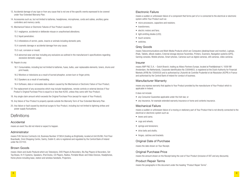- 13. Accidental damage of any type or from any cause that is not one of the specific events expressed to be covered under Your Extended Warranty Plan;
- 14. Accessories such as, but not limited to batteries, headphones, microphones, cords and cables, ancillary game controllers and memory cards;
- 15. Mechanical Failure or Electronic Failures of Your Product caused by:
	- 15.1 negligence, accidental or deliberate misuse or unauthorised alterations;
	- 15.2 liquid penetration;
	- 15.3 infestations of vermin, pests, insects or animals including domestic pets;
	- 15.4 cosmetic damage or accidental damage from any cause;
	- 15.5 rust, corrosion or mould;
	- 15.6 abnormal wear and tear including any exclusions as outlined in the manufacturer's specifications regarding excessive domestic usage;
- 16. Repairs to any:
	- 16.1 Consumables, including but not limited to batteries, fuses, bulbs, user replaceable elements, toners, drums and print heads;
	- 16.2 Monitors or televisions as a result of burned phosphor, screen burn or finger prints;
	- 16.3 Speakers as a result of overloading;
	- 16.4 Software, data or removable data medium caused by the Mechanical or Electronic Failure of Your Product,
- 17. The replacement of any accessories which may include headphones, remote controls or external devices if Your Product's Original Purchase Price is equal to or less than €200, unless they came with Your Product;
- 18. Any single claim amount which exceeds the Original Purchase Price (except for repair of Your Product);
- 19. Any failure of Your Product to properly operate outside the Warranty Term of Your Extended Warranty Plan.
- 20. Any failure or fault caused by electrical surges to Your Product, including but not limited to lightning strikes and power supply fluctuations.

## **Definitions**

#### Accidental

means an event You did not intend or expect to happen.

#### Administrator

means Frith Service Contracts Ltd, Business Number 373654 (trading as Brightside), located at Unit 85/86, First Floor Boardwalk, Omni Shopping Centre, Santry, Dublin 9, who is registered and regulated by the Central Bank of Ireland under No C51103.

#### Brown Goods

means *Vision and Audio Products* which are Televisions, DVD Players & Recorders, Blu Ray Players & Recorders, Set Top Boxes, Hi-Fi Systems, Speakers, iPod Docks, CD Players, Radios, Portable Music and Video Devices, Headphones, Home phone including base, station and wireless handsets, Projectors.

#### Electronic Failure

means a sudden or unforeseen failure of a component that forms part of or is connected to the electrical or electronic system within Your Product such as:

- micro processors, capacitors and resistors;
- transformers:
- electric motors and fans;
- light emitting diodes (LED):
- touch screens:
- switches.

#### Grey Goods

means Telecommunications and Multi-Media Products which are Computers (desktop/tower and monitor), Laptops, iPads, Tablets, eBook readers, External storage devices Facsimiles, Printers, Scanners, Navigation systems (GPS), Gaming consoles, Mobile phones, Smart phones, Cameras such as digital cameras, still cameras, video cameras.

#### Insurer

means AWP P&C S.A. – Dutch Branch, trading as Allianz Partners Europe, located at Poeldijkstraat 4, 1059 VM Amsterdam, the Netherlands, Corporate identification No 33094603, is registered at the Dutch Authority for Financial Markets (AFM) No 12000535 and is authorised by L'Autorité de Contrôle Prudentiel et de Résolution (ACPR) in France and authorised by the Central Bank of Ireland for conduct of business.

#### Manufacturer Warranty

means any express warranty that applies to Your Product provided by the manufacturer of Your Product which is applicable in Ireland.

It does not include:

- any Consumer Guarantee applicable under the Irish law; or
- any insurance, for example extended warranty insurance or home and contents insurance.

#### Mechanical Failure

means a sudden or unforeseen failure of a moving or stationery part of Your Product that is not directly connected to the electrical or electronic system such as:

- levers and cams:
- cogs and wheels;
- springs and tensioners;
- drive belts and shafts:
- hinges, catches and brackets.

#### Original Date of Purchase

means the date shown on Your Receipt.

#### Original Purchase Price

means the amount shown on the Receipt being the cost of Your Product (inclusive of VAT and any discounts).

#### Product Repair Terms

means the paragraphs in this document under the heading "Product Repair Terms".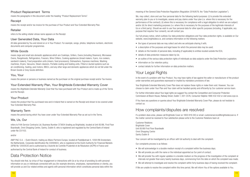#### Product Replacement Terms

means the paragraphs in this document under the heading "Product Replacement Terms".

#### Receipt

means the receipt and/or tax invoice for the purchase of Your Product and Your Extended Warranty Plan.

#### Retailer

refers to the selling retailer whose name appears on the Receipt.

#### User Generated Data, Your Data

All data generated by You and stored on or in Your Product. For example, songs, photos, telephone numbers, electronic documents and computer programmes.

#### White Goods

means *large and small size domestic appliances* which are Cooktops, Grillers, Ovens (including Steamers), Microwave Ovens, Rangehoods, Refrigerators, Freezers, Wine Chillers, Cooking appliances (bread makers, fryers, rice cookers, sandwich makers), Food preparation units (mixers, food processors), Dishwashers, Espresso machines, Washing machines, Dryers, Vacuums, Steam cleaners, Portable cooling and heating units, Fitted or ducted systems such as air-conditioning, heating, pool motors, BBQ's, and any other large and domestic appliances which do not fall under the Brown Goods or Grey Goods definition.

#### You, Your

means the person or persons or business named as the purchaser on the original purchase receipt and/or Tax Invoice.

#### Your Extended Warranty Plan, Your Brightside Extended Warranty Cover

means the *Brightside Extended Warranty Cover* that You have purchased with Your Product and is made up of the Terms and the Receint.

#### Your Product

means the product that You purchased new and in Ireland that is named on the Receipt and shown to be covered under Your Extended Warranty Plan.

#### Warranty Term

means the period during which You have cover under Your Extended Warranty Plan as set out in the Terms.

#### We, Us, Our

refers to Frith Service Contracts Ltd, Business Number 373654 (trading as Brightside), located at Unit 85/86, First Floor Boardwalk, Omni Shopping Centre, Santry, Dublin 9, who is registered and regulated by the Central Bank of Ireland under No C51103.

#### and/or

AWP P&C S.A. – Dutch Branch, trading as Allianz Partners Europe, located at Poeldijkstraat 4, 1059 VM Amsterdam, the Netherlands, Corporate identification No 33094603, who is registered at the Dutch Authority for Financial Markets (AFM) No 12000535 and is authorised by L'Autorité de Contrôle Prudentiel et de Résolution (ACPR) in France and authorised by the Central Bank of Ireland for conduct of business.

## Data Protection Notice

You should note that, by virtue of Your engagement or interactions with Us or by virtue of providing Us with personal information on you or individuals connected with you (for example directors, employees, representatives or clients), you will provide us and Our related entities and agents with personal information which constitutes personal data within the meaning of the General Data Protection Regulation (Regulation 2016/679, the "Data Protection Legislation").

We, may collect, store and use Your personal data for the following lawful purposes: (i) to provide this extended warranty plan to you or to investigate, assess and pay claims under Your plan (i.e. where this is necessary for the performance of the contract); (ii) where this is necessary for compliance with a legal obligation to which we are subject; and/or (iii) for direct marketing purposes (i.e. where this is necessary for the purposes of the legitimate interests of Us or a third party). Should we wish to use Your personal data for other specific purposes (including, if applicable, any purpose that requires Your consent), we will contact you.

Our full privacy notice, which outlines Our data protection obligations and Your data protection rights, is available on Our website, www.brightsideco.ie, and contains information on the following matters:

- the types of personal data we may collect and who we anticipate sharing it with;
- a description of the purposes and legal bases for which the personal data may be used;
- details on the transfer of personal data, including (if applicable) to entities located outside the EEA;
- details of data protection measures taken by Us;
- an outline of the various data protection rights of individuals as data subjects under the Data Protection Legislation;
- information on Our retention policy;
- contact details for further information on data protection matters.

## Your Legal Rights

In the event of a problem with Your Product, You may have rights of law against the seller or manufacturer of the product under warranties and guarantees expressed or implied by mandatory provisions of law.

Your Brightside Extended Warranty Cover Plan does not replace these rights or make them void. However, You can choose to claim under Your Plan and Your claim will be handled quickly and efficiently by Our customer service team.

For further information about Your legal rights we suggest You contact the Competition and Consumer Protection Commission at Bloom House, Railway Street, Dublin 1, D01 C576, Consumer Helpline 1890 432 432 or visit www.ccpc.ie.

If You have any questions or queries about Your Brightside Extended Warranty Cover Plan, please do not hesitate to contact us.

## How complaints/disputes are resolved

If a problem does arise, please call Brightside Cover on 1800 819 240 or email: customerservice@brightsidecover.ie. If the matter cannot be resolved to Your satisfaction please write to the Customer Relations team at:

Customer Relations Brightside Cover Unit 85/86 First Floor Boardwalk Omni Shopping Centre Santry Dublin 9

Your concern will be investigated by an officer with full authority to deal with the complaint.

Our complaints process is as follows:

- We will acknowledge in a durable medium receipt of a complaint within five business days:
- We will provide you with the name or the individual appointed as Our point of contact;
- We will provide You with regular updates in a durable medium on the progress of the investigation of the complaint at intervals not greater than every twenty business days, commencing from the date on which the complaint was made;
- We will attempt to investigate and resolve the complaint within forty business days of having received the complaint.

If We are unable to resolve the complaint within this time period, We will inform You of the options available to You.